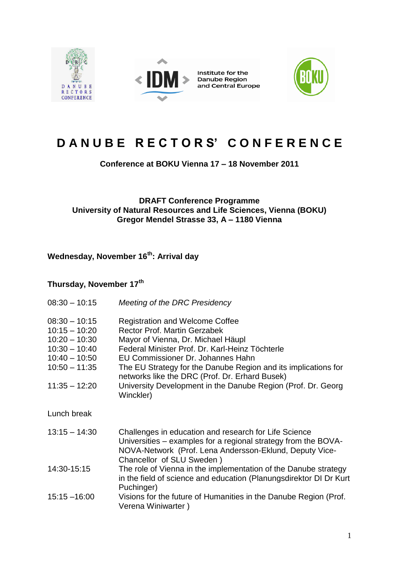

## **D A N U B E R E C T O R S' C O N F E R E N C E**

**Conference at BOKU Vienna 17 – 18 November 2011**

## **DRAFT Conference Programme University of Natural Resources and Life Sciences, Vienna (BOKU) Gregor Mendel Strasse 33, A – 1180 Vienna**

**Wednesday, November 16th: Arrival day**

## **Thursday, November 17th**

| $08:30 - 10:15$                                                                                                                   | <b>Meeting of the DRC Presidency</b>                                                                                                                                                                                                                                                                                                                                                                         |
|-----------------------------------------------------------------------------------------------------------------------------------|--------------------------------------------------------------------------------------------------------------------------------------------------------------------------------------------------------------------------------------------------------------------------------------------------------------------------------------------------------------------------------------------------------------|
| $08:30 - 10:15$<br>$10:15 - 10:20$<br>$10:20 - 10:30$<br>$10:30 - 10:40$<br>$10:40 - 10:50$<br>$10:50 - 11:35$<br>$11:35 - 12:20$ | <b>Registration and Welcome Coffee</b><br><b>Rector Prof. Martin Gerzabek</b><br>Mayor of Vienna, Dr. Michael Häupl<br>Federal Minister Prof. Dr. Karl-Heinz Töchterle<br>EU Commissioner Dr. Johannes Hahn<br>The EU Strategy for the Danube Region and its implications for<br>networks like the DRC (Prof. Dr. Erhard Busek)<br>University Development in the Danube Region (Prof. Dr. Georg<br>Winckler) |
| Lunch break                                                                                                                       |                                                                                                                                                                                                                                                                                                                                                                                                              |
| $13:15 - 14:30$                                                                                                                   | Challenges in education and research for Life Science<br>Universities – examples for a regional strategy from the BOVA-<br>NOVA-Network (Prof. Lena Andersson-Eklund, Deputy Vice-<br>Chancellor of SLU Sweden)                                                                                                                                                                                              |
| 14:30-15:15                                                                                                                       | The role of Vienna in the implementation of the Danube strategy<br>in the field of science and education (Planungsdirektor DI Dr Kurt<br>Puchinger)                                                                                                                                                                                                                                                          |
| $15:15 - 16:00$                                                                                                                   | Visions for the future of Humanities in the Danube Region (Prof.<br>Verena Winiwarter)                                                                                                                                                                                                                                                                                                                       |